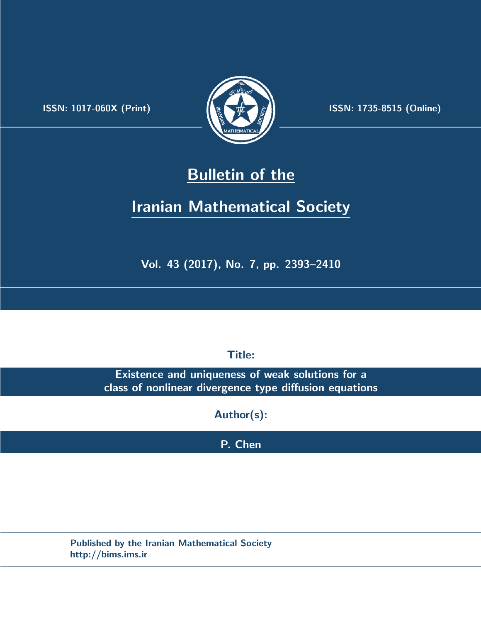.



**ISSN:** 1017-060X (Print)  $\left(\frac{1}{2}\right)$   $\frac{1}{2}$   $\frac{1}{2}$   $\frac{1}{2}$  **ISSN:** 1735-8515 (Online)

## **Bulletin of the**

# **Iranian Mathematical Society**

**Vol. 43 (2017), No. 7, pp. 2393–2410**

**Title:**

**Existence and uniqueness of weak solutions for a class of nonlinear divergence type diffusion equations**

**Author(s):**

**P. Chen**

**Published by the Iranian Mathematical Society http://bims.ims.ir**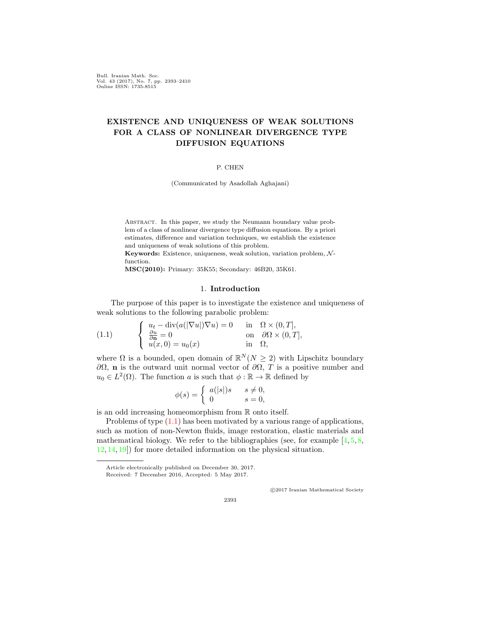Bull. Iranian Math. Soc. Vol. 43 (2017), No. 7, pp. 2393–2410 Online ISSN: 1735-8515

### **EXISTENCE AND UNIQUENESS OF WEAK SOLUTIONS FOR A CLASS OF NONLINEAR DIVERGENCE TYPE DIFFUSION EQUATIONS**

#### P. CHEN

(Communicated by Asadollah Aghajani)

Abstract. In this paper, we study the Neumann boundary value problem of a class of nonlinear divergence type diffusion equations. By a priori estimates, difference and variation techniques, we establish the existence and uniqueness of weak solutions of this problem.

**Keywords:** Existence, uniqueness, weak solution, variation problem, *N* function.

**MSC(2010):** Primary: 35K55; Secondary: 46B20, 35K61.

#### 1. **Introduction**

The purpose of this paper is to investigate the existence and uniqueness of weak solutions to the following parabolic problem:

<span id="page-1-0"></span>(1.1) 
$$
\begin{cases} u_t - \operatorname{div}(a(|\nabla u|)\nabla u) = 0 & \text{in } \Omega \times (0,T], \\ \frac{\partial u}{\partial \mathbf{n}} = 0 & \text{on } \partial \Omega \times (0,T], \\ u(x,0) = u_0(x) & \text{in } \Omega, \end{cases}
$$

where  $\Omega$  is a bounded, open domain of  $\mathbb{R}^N(N \geq 2)$  with Lipschitz boundary *∂*Ω, **n** is the outward unit normal vector of *∂*Ω, *T* is a positive number and  $u_0 \in L^2(\Omega)$ . The function *a* is such that  $\phi : \mathbb{R} \to \mathbb{R}$  defined by

$$
\phi(s) = \begin{cases} a(|s|)s & s \neq 0, \\ 0 & s = 0, \end{cases}
$$

is an odd increasing homeomorphism from R onto itself.

Problems of type ([1.1\)](#page-1-0) has been motivated by a various range of applications, such as motion of non-Newton fluids, image restoration, elastic materials and mathematical biology. We refer to the bibliographies (see, for example  $[4, 5, 8, 6]$  $[4, 5, 8, 6]$  $[4, 5, 8, 6]$  $[4, 5, 8, 6]$  $[4, 5, 8, 6]$  $[4, 5, 8, 6]$  $[4, 5, 8, 6]$ [12,](#page-18-0) [14](#page-18-1), [19](#page-18-2)]) for more detailed information on the physical situation.

*⃝*c 2017 Iranian Mathematical Society

Article electronically published on December 30, 2017.

Received: 7 December 2016, Accepted: 5 May 2017.

<sup>2393</sup>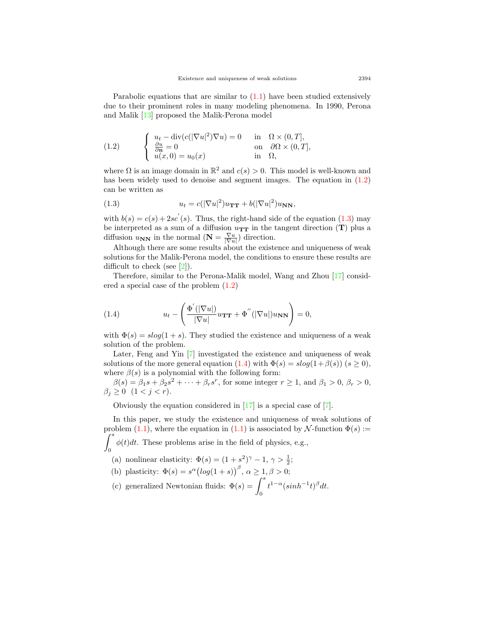Parabolic equations that are similar to  $(1.1)$  $(1.1)$  have been studied extensively due to their prominent roles in many modeling phenomena. In 1990, Perona and Malik [\[13](#page-18-3)] proposed the Malik-Perona model

<span id="page-2-0"></span>(1.2) 
$$
\begin{cases} u_t - \operatorname{div}(c(|\nabla u|^2) \nabla u) = 0 & \text{in } \Omega \times (0, T], \\ \frac{\partial u}{\partial \mathbf{n}} = 0 & \text{on } \partial \Omega \times (0, T], \\ u(x, 0) = u_0(x) & \text{in } \Omega, \end{cases}
$$

where  $\Omega$  is an image domain in  $\mathbb{R}^2$  and  $c(s) > 0$ . This model is well-known and has been widely used to denoise and segment images. The equation in  $(1.2)$  $(1.2)$  $(1.2)$ can be written as

<span id="page-2-1"></span>(1.3) 
$$
u_t = c(|\nabla u|^2)u_{\mathbf{TT}} + b(|\nabla u|^2)u_{\mathbf{NN}},
$$

with  $b(s) = c(s) + 2sc'(s)$ . Thus, the right-hand side of the equation [\(1.3](#page-2-1)) may be interpreted as a sum of a diffusion  $u_{TT}$  in the tangent direction  $(T)$  plus a diffusion  $u_{NN}$  in the normal  $(N = \frac{\nabla u}{|\nabla u|})$  direction.

Although there are some results about the existence and uniqueness of weak solutions for the Malik-Perona model, the conditions to ensure these results are difficult to check (see [\[2](#page-17-3)]).

Therefore, similar to the Perona-Malik model, Wang and Zhou [[17\]](#page-18-4) considered a special case of the problem ([1.2](#page-2-0))

<span id="page-2-2"></span>(1.4) 
$$
u_t - \left(\frac{\Phi'(|\nabla u|)}{|\nabla u|}u_{\mathbf{TT}} + \Phi''(|\nabla u|)u_{\mathbf{NN}}\right) = 0,
$$

with  $\Phi(s) = s \log(1 + s)$ . They studied the existence and uniqueness of a weak solution of the problem.

Later, Feng and Yin [[7\]](#page-17-4) investigated the existence and uniqueness of weak solutions of the more general equation ([1.4](#page-2-2)) with  $\Phi(s) = s \log(1 + \beta(s))$  ( $s \ge 0$ ), where  $\beta(s)$  is a polynomial with the following form:

 $\beta(s) = \beta_1 s + \beta_2 s^2 + \cdots + \beta_r s^r$ , for some integer  $r \ge 1$ , and  $\beta_1 > 0$ ,  $\beta_r > 0$ ,  $\beta_j \geq 0$  (1 < *j* < *r*).

Obviously the equation considered in [[17\]](#page-18-4) is a special case of [[7\]](#page-17-4).

In this paper, we study the existence and uniqueness of weak solutions of problem [\(1.1](#page-1-0)), where the equation in ([1.1](#page-1-0)) is associated by  $\mathcal{N}\text{-function }\Phi(s) :=$ ∫ *<sup>s</sup>* 0  $\phi(t)dt$ . These problems arise in the field of physics, e.g.,

(a) nonlinear elasticity:  $\Phi(s) = (1 + s^2)^{\gamma} - 1, \gamma > \frac{1}{2}$ ;

(b) plasticity: 
$$
\Phi(s) = s^{\alpha} (\log(1+s))^{\beta}, \alpha \ge 1, \beta > 0;
$$

(c) generalized Newtonian fluids:  $\Phi(s) = \int^s$ 0  $t^{1-\alpha}(\sinh^{-1}t)^{\beta}dt$ .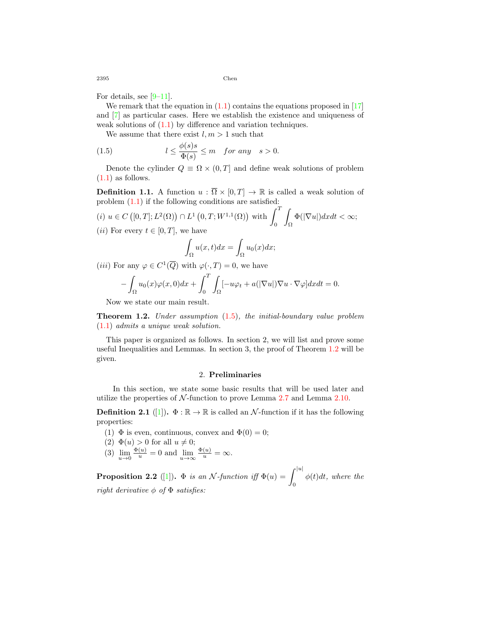For details, see [\[9](#page-18-5)[–11](#page-18-6)].

We remark that the equation in  $(1.1)$  $(1.1)$  contains the equations proposed in  $[17]$  $[17]$ and [\[7](#page-17-4)] as particular cases. Here we establish the existence and uniqueness of weak solutions of  $(1.1)$  $(1.1)$  by difference and variation techniques.

<span id="page-3-0"></span>We assume that there exist  $l, m > 1$  such that

(1.5) 
$$
l \leq \frac{\phi(s)s}{\Phi(s)} \leq m \quad \text{for any} \quad s > 0.
$$

Denote the cylinder  $Q \equiv \Omega \times (0, T]$  and define weak solutions of problem  $(1.1)$  $(1.1)$  as follows.

**Definition 1.1.** A function  $u : \overline{\Omega} \times [0,T] \rightarrow \mathbb{R}$  is called a weak solution of problem ([1.1](#page-1-0)) if the following conditions are satisfied:

 $(i)$   $u \in C([0,T]; L^2(\Omega)) \cap L^1(0,T; W^{1,1}(\Omega))$  with  $\int_0^T$ 0 Ω  $\Phi(|\nabla u|)dxdt < \infty;$ (*ii*) For every  $t \in [0, T]$ , we have

$$
\int_{\Omega} u(x,t)dx = \int_{\Omega} u_0(x)dx;
$$

(*iii*) For any  $\varphi \in C^1(\overline{Q})$  with  $\varphi(\cdot, T) = 0$ , we have

$$
-\int_{\Omega} u_0(x)\varphi(x,0)dx + \int_0^T \int_{\Omega} [-u\varphi_t + a(|\nabla u|)\nabla u \cdot \nabla \varphi] dx dt = 0.
$$

Now we state our main result.

<span id="page-3-1"></span>**Theorem 1.2.** *Under assumption* ([1.5](#page-3-0))*, the initial-boundary value problem* ([1.1\)](#page-1-0) *admits a unique weak solution.*

This paper is organized as follows. In section 2, we will list and prove some useful Inequalities and Lemmas. In section 3, the proof of Theorem [1.2](#page-3-1) will be given.

#### 2. **Preliminaries**

In this section, we state some basic results that will be used later and utilize the properties of  $N$ -function to prove Lemma [2.7](#page-5-0) and Lemma [2.10.](#page-5-1)

**Definition 2.1** ([\[1](#page-17-5)]).  $\Phi : \mathbb{R} \to \mathbb{R}$  is called an *N*-function if it has the following properties:

- (1)  $\Phi$  is even, continuous, convex and  $\Phi(0) = 0$ ;
- $(2) \Phi(u) > 0$  for all  $u \neq 0$ ;
- (3)  $\lim_{u \to 0} \frac{\Phi(u)}{u} = 0$  and  $\lim_{u \to \infty} \frac{\Phi(u)}{u} = \infty$ .

<span id="page-3-2"></span>**Proposition 2.2** ([\[1](#page-17-5)]).  $\Phi$  *is an N*-function iff  $\Phi(u) = \int_{u}^{|u|}$ 0 *ϕ*(*t*)*dt, where the right derivative ϕ of* Φ *satisfies:*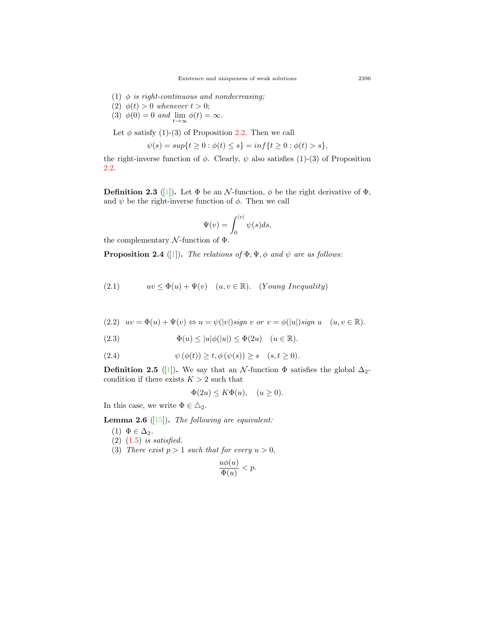- (1) *ϕ is right-continuous and nondecreasing;*
- (2)  $\phi(t) > 0$  whenever  $t > 0$ ;
- (3)  $\phi(0) = 0$  *and*  $\lim_{t \to \infty} \phi(t) = \infty$ .

Let  $\phi$  satisfy (1)-(3) of Proposition [2.2](#page-3-2). Then we call

$$
\psi(s) = \sup\{t \ge 0 : \phi(t) \le s\} = \inf\{t \ge 0 : \phi(t) > s\},\
$$

the right-inverse function of  $\phi$ . Clearly,  $\psi$  also satisfies (1)-(3) of Proposition [2.2.](#page-3-2)

**Definition 2.3** ([\[1](#page-17-5)]). Let  $\Phi$  be an *N*-function,  $\phi$  be the right derivative of  $\Phi$ , and  $\psi$  be the right-inverse function of  $\phi$ . Then we call

$$
\Psi(v)=\int_0^{|v|}\psi(s)ds,
$$

the complementary *N* -function of Φ.

<span id="page-4-5"></span>**Proposition 2.4** ([\[1](#page-17-5)]). *The relations of*  $\Phi$ *,*  $\Psi$ *,*  $\phi$  *and*  $\psi$  *are as follows:* 

<span id="page-4-0"></span>(2.1)  $uv \leq \Phi(u) + \Psi(v) \quad (u, v \in \mathbb{R})$ . (*Young Inequality*)

<span id="page-4-1"></span>(2.2) 
$$
uv = \Phi(u) + \Psi(v) \Leftrightarrow u = \psi(|v|) \text{sign } v \text{ or } v = \phi(|u|) \text{sign } u \quad (u, v \in \mathbb{R}).
$$

(2.3) 
$$
\Phi(u) \le |u|\phi(|u|) \le \Phi(2u) \quad (u \in \mathbb{R}).
$$

$$
(2.4) \qquad \psi\left(\phi(t)\right) \ge t, \phi\left(\psi(s)\right) \ge s \quad (s, t \ge 0).
$$

**Definition 2.5** ([\[1](#page-17-5)]). We say that an *N*-function  $\Phi$  satisfies the global  $\Delta_2$ condition if there exists  $K > 2$  such that

<span id="page-4-3"></span><span id="page-4-2"></span>
$$
\Phi(2u) \le K\Phi(u), \quad (u \ge 0).
$$

In this case, we write  $\Phi \in \Delta_2$ *.* 

<span id="page-4-4"></span>**Lemma 2.6** ([\[15](#page-18-7)])**.** *The following are equivalent:*

- $(1) \Phi \in \Delta_2$ .
- (2) ([1.5\)](#page-3-0) *is satisfied.*
- (3) *There exist*  $p > 1$  *such that for every*  $u > 0$ *,*

$$
\frac{u\phi(u)}{\Phi(u)} < p.
$$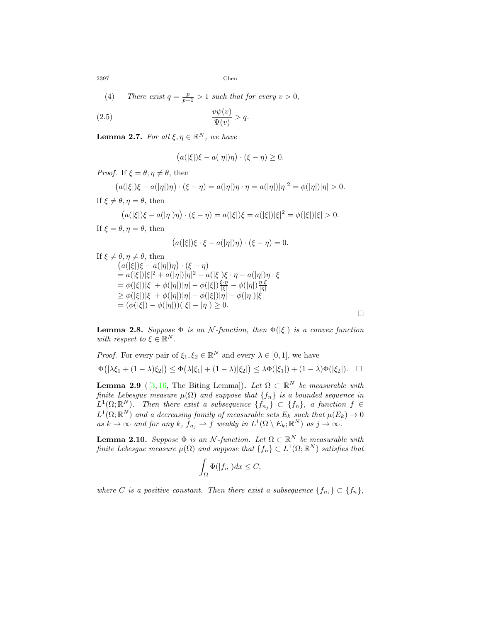(4) There exist 
$$
q = \frac{p}{p-1} > 1
$$
 such that for every  $v > 0$ ,

$$
\frac{v\psi(v)}{\Psi(v)} > q.
$$

<span id="page-5-0"></span>**Lemma 2.7.** *For all*  $\xi, \eta \in \mathbb{R}^N$ *, we have* 

<span id="page-5-4"></span>
$$
(a(|\xi|)\xi - a(|\eta|)\eta) \cdot (\xi - \eta) \ge 0.
$$

*Proof.* If  $\xi = \theta, \eta \neq \theta$ , then

$$
(a(|\xi|)\xi - a(|\eta|)\eta) \cdot (\xi - \eta) = a(|\eta|)\eta \cdot \eta = a(|\eta|)|\eta|^2 = \phi(|\eta|)|\eta| > 0.
$$

If 
$$
\xi \neq \theta, \eta = \theta
$$
, then

$$
(a(|\xi|)\xi - a(|\eta|)\eta) \cdot (\xi - \eta) = a(|\xi|)\xi = a(|\xi|)|\xi|^2 = \phi(|\xi|)|\xi| > 0.
$$

If  $\xi = \theta, \eta = \theta$ , then

$$
(a(|\xi|)\xi \cdot \xi - a(|\eta|)\eta) \cdot (\xi - \eta) = 0.
$$

If 
$$
\xi \neq \theta, \eta \neq \theta
$$
, then  
\n
$$
(a(|\xi|)\xi - a(|\eta|)\eta) \cdot (\xi - \eta)
$$
\n
$$
= a(|\xi|)|\xi|^2 + a(|\eta|)|\eta|^2 - a(|\xi|)\xi \cdot \eta - a(|\eta|)\eta \cdot \xi
$$
\n
$$
= \phi(|\xi|)|\xi| + \phi(|\eta|)|\eta| - \phi(|\xi|)\frac{\xi \cdot \eta}{|\xi|} - \phi(|\eta|)\frac{\eta \cdot \xi}{|\eta|}
$$
\n
$$
\geq \phi(|\xi|)|\xi| + \phi(|\eta|)|\eta| - \phi(|\xi|)|\eta| - \phi(|\eta|)|\xi|
$$
\n
$$
= (\phi(|\xi|) - \phi(|\eta|))(|\xi| - |\eta|) \geq 0.
$$

<span id="page-5-3"></span>**Lemma 2.8.** *Suppose*  $\Phi$  *is an N*-function, then  $\Phi(|\xi|)$  *is a convex function with respect to*  $\xi \in \mathbb{R}^N$ *.* 

*Proof.* For every pair of 
$$
\xi_1, \xi_2 \in \mathbb{R}^N
$$
 and every  $\lambda \in [0, 1]$ , we have  
\n
$$
\Phi(|\lambda \xi_1 + (1 - \lambda)\xi_2|) \leq \Phi(\lambda |\xi_1| + (1 - \lambda)|\xi_2|) \leq \lambda \Phi(|\xi_1|) + (1 - \lambda)\Phi(|\xi_2|).
$$

<span id="page-5-2"></span>**Lemma 2.9** ( $[3, 16$  $[3, 16$ , The Biting Lemma)). Let  $\Omega \subset \mathbb{R}^N$  be measurable with *finite Lebesgue measure µ*(Ω) *and suppose that {fn} is a bounded sequence in*  $L^1(\Omega;\mathbb{R}^N)$ *. Then there exist a subsequence*  $\{f_{n_j}\}\subset \{f_n\}$ *, a function*  $f \in$  $L^1(\Omega;\mathbb{R}^N)$  and a decreasing family of measurable sets  $E_k$  such that  $\mu(E_k) \to 0$  $as k \to \infty$  *and for any*  $k$ *,*  $f_{n_j} \to f$  *weakly in*  $L^1(\Omega \setminus E_k; \mathbb{R}^N)$  *as*  $j \to \infty$ *.* 

<span id="page-5-1"></span>**Lemma 2.10.** *Suppose*  $\Phi$  *is an N*-function. Let  $\Omega \subset \mathbb{R}^N$  be measurable with *finite Lebesgue measure*  $\mu(\Omega)$  *and suppose that*  $\{f_n\} \subset L^1(\Omega;\mathbb{R}^N)$  *satisfies that* 

$$
\int_{\Omega} \Phi(|f_n|) dx \le C,
$$

*where C is a positive constant. Then there exist a subsequence*  $\{f_{n_i}\} \subset \{f_n\}$ ,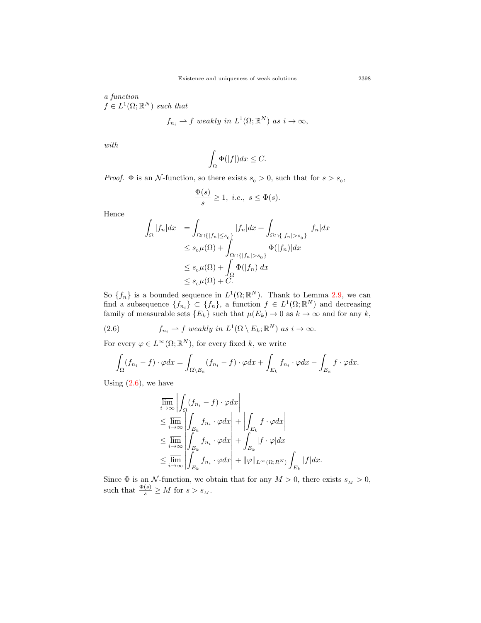*a function*  $f \in L^1(\Omega;\mathbb{R}^N)$  *such that* 

$$
f_{n_i} \rightharpoonup f
$$
 weakly in  $L^1(\Omega; \mathbb{R}^N)$  as  $i \to \infty$ ,

*with*

$$
\int_{\Omega} \Phi(|f|) dx \le C.
$$

*Proof.*  $\Phi$  is an *N*-function, so there exists  $s_0 > 0$ , such that for  $s > s_0$ ,

$$
\frac{\Phi(s)}{s} \ge 1, \ i.e., \ s \le \Phi(s).
$$

Hence

$$
\int_{\Omega} |f_n| dx = \int_{\Omega \cap \{|f_n| \le s_0\}} |f_n| dx + \int_{\Omega \cap \{|f_n| > s_0\}} |f_n| dx
$$
  
\n
$$
\le s_0 \mu(\Omega) + \int_{\Omega \cap \{|f_n| > s_0\}} \Phi(|f_n)| dx
$$
  
\n
$$
\le s_0 \mu(\Omega) + \int_{\Omega} \Phi(|f_n)| dx
$$
  
\n
$$
\le s_0 \mu(\Omega) + C.
$$

So  $\{f_n\}$  is a bounded sequence in  $L^1(\Omega;\mathbb{R}^N)$ . Thank to Lemma [2.9](#page-5-2), we can find a subsequence  $\{f_{n_i}\}\subset \{f_n\}$ , a function  $f \in L^1(\Omega;\mathbb{R}^N)$  and decreasing family of measurable sets  ${E_k}$  such that  $\mu(E_k) \to 0$  as  $k \to \infty$  and for any *k*,

(2.6) 
$$
f_{n_i} \rightharpoonup f \ weakly \ in \ L^1(\Omega \setminus E_k; \mathbb{R}^N) \ as \ i \to \infty.
$$

For every  $\varphi \in L^{\infty}(\Omega; \mathbb{R}^{N})$ , for every fixed *k*, we write

<span id="page-6-0"></span>
$$
\int_{\Omega} (f_{n_i} - f) \cdot \varphi dx = \int_{\Omega \setminus E_k} (f_{n_i} - f) \cdot \varphi dx + \int_{E_k} f_{n_i} \cdot \varphi dx - \int_{E_k} f \cdot \varphi dx.
$$

Using  $(2.6)$  $(2.6)$ , we have

$$
\overline{\lim}_{i \to \infty} \left| \int_{\Omega} (f_{n_i} - f) \cdot \varphi dx \right|
$$
\n
$$
\leq \overline{\lim}_{i \to \infty} \left| \int_{E_k} f_{n_i} \cdot \varphi dx \right| + \left| \int_{E_k} f \cdot \varphi dx \right|
$$
\n
$$
\leq \overline{\lim}_{i \to \infty} \left| \int_{E_k} f_{n_i} \cdot \varphi dx \right| + \int_{E_k} |f \cdot \varphi| dx
$$
\n
$$
\leq \overline{\lim}_{i \to \infty} \left| \int_{E_k} f_{n_i} \cdot \varphi dx \right| + ||\varphi||_{L^{\infty}(\Omega; R^N)} \int_{E_k} |f| dx.
$$

Since  $\Phi$  is an *N*-function, we obtain that for any  $M > 0$ , there exists  $s_M > 0$ , such that  $\frac{\Phi(s)}{s} \geq M$  for  $s > s_M$ .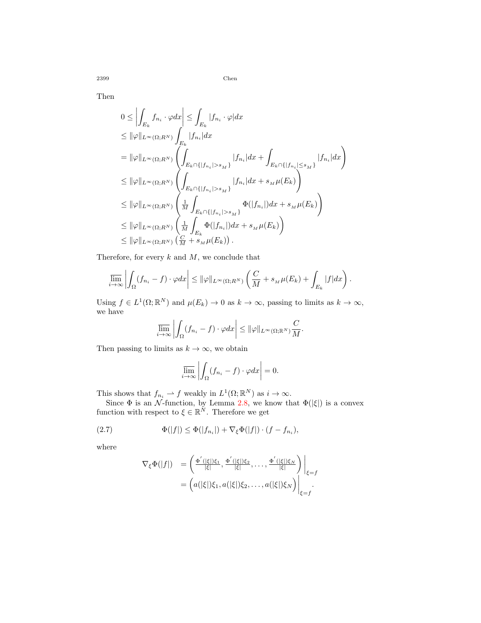Then

$$
0 \leq \left| \int_{E_k} f_{n_i} \cdot \varphi dx \right| \leq \int_{E_k} |f_{n_i} \cdot \varphi| dx
$$
  
\n
$$
\leq \|\varphi\|_{L^{\infty}(\Omega; R^N)} \int_{E_k} |f_{n_i}| dx
$$
  
\n
$$
= \|\varphi\|_{L^{\infty}(\Omega; R^N)} \left( \int_{E_k \cap \{|f_{n_i}| > s_M\}} |f_{n_i}| dx + \int_{E_k \cap \{|f_{n_i}| \leq s_M\}} |f_{n_i}| dx \right)
$$
  
\n
$$
\leq \|\varphi\|_{L^{\infty}(\Omega; R^N)} \left( \int_{E_k \cap \{|f_{n_i}| > s_M\}} |f_{n_i}| dx + s_M \mu(E_k) \right)
$$
  
\n
$$
\leq \|\varphi\|_{L^{\infty}(\Omega; R^N)} \left( \frac{1}{M} \int_{E_k \cap \{|f_{n_i}| > s_M\}} \Phi(|f_{n_i}|) dx + s_M \mu(E_k) \right)
$$
  
\n
$$
\leq \|\varphi\|_{L^{\infty}(\Omega; R^N)} \left( \frac{1}{M} \int_{E_k} \Phi(|f_{n_i}|) dx + s_M \mu(E_k) \right)
$$
  
\n
$$
\leq \|\varphi\|_{L^{\infty}(\Omega; R^N)} \left( \frac{C}{M} + s_M \mu(E_k) \right).
$$

Therefore, for every *k* and *M*, we conclude that

$$
\overline{\lim_{i\to\infty}}\left|\int_{\Omega}(f_{n_i}-f)\cdot\varphi dx\right|\leq \|\varphi\|_{L^{\infty}(\Omega;R^N)}\left(\frac{C}{M}+s_M\mu(E_k)+\int_{E_k}|f|dx\right).
$$

Using  $f \in L^1(\Omega; \mathbb{R}^N)$  and  $\mu(E_k) \to 0$  as  $k \to \infty$ , passing to limits as  $k \to \infty$ , we have

$$
\overline{\lim_{i\to\infty}}\left|\int_{\Omega}(f_{n_i}-f)\cdot\varphi dx\right|\leq \|\varphi\|_{L^{\infty}(\Omega;\mathbb{R}^N)}\frac{C}{M}.
$$

Then passing to limits as  $k \to \infty$ , we obtain

$$
\overline{\lim_{i \to \infty}} \left| \int_{\Omega} (f_{n_i} - f) \cdot \varphi dx \right| = 0.
$$

This shows that  $f_{n_i} \rightharpoonup f$  weakly in  $L^1(\Omega; \mathbb{R}^N)$  as  $i \to \infty$ .

Since  $\Phi$  is an *N*-function, by Lemma [2.8](#page-5-3), we know that  $\Phi(|\xi|)$  is a convex function with respect to  $\xi \in \mathbb{R}^N$ . Therefore we get

(2.7) 
$$
\Phi(|f|) \leq \Phi(|f_{n_i}|) + \nabla_{\xi} \Phi(|f|) \cdot (f - f_{n_i}),
$$

where

<span id="page-7-0"></span>
$$
\nabla_{\xi} \Phi(|f|) = \left( \frac{\Phi'(|\xi|) \xi_1}{|\xi|}, \frac{\Phi'(|\xi|) \xi_2}{|\xi|}, \dots, \frac{\Phi'(|\xi|) \xi_N}{|\xi|} \right) \Big|_{\xi=f}
$$

$$
= \left( a(|\xi|) \xi_1, a(|\xi|) \xi_2, \dots, a(|\xi|) \xi_N \right) \Big|_{\xi=f}.
$$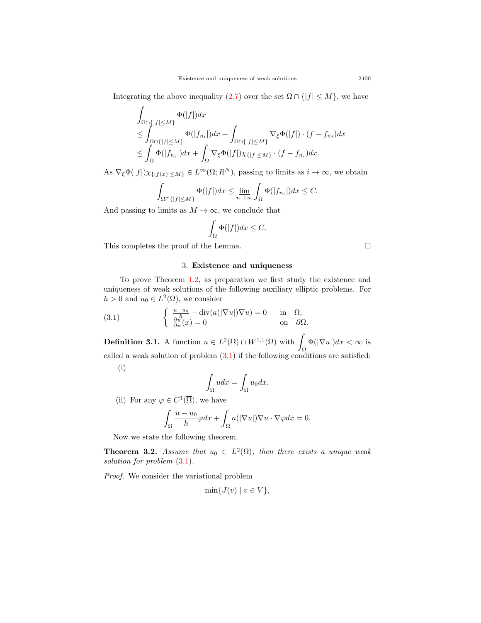Integrating the above inequality ([2.7\)](#page-7-0) over the set  $\Omega \cap \{|f| \leq M\}$ , we have

$$
\int_{\Omega\cap\{|f|\leq M\}} \Phi(|f|)dx
$$
\n
$$
\leq \int_{\Omega\cap\{|f|\leq M\}} \Phi(|f_{n_i}|)dx + \int_{\Omega\cap\{|f|\leq M\}} \nabla_{\xi} \Phi(|f|) \cdot (f - f_{n_i})dx
$$
\n
$$
\leq \int_{\Omega} \Phi(|f_{n_i}|)dx + \int_{\Omega} \nabla_{\xi} \Phi(|f|) \chi_{\{|f|\leq M\}} \cdot (f - f_{n_i})dx.
$$

As  $\nabla_{\xi} \Phi(|f|) \chi_{\{|f(x)| \le M\}} \in L^{\infty}(\Omega; R^N)$ , passing to limits as  $i \to \infty$ , we obtain

$$
\int_{\Omega \cap \{|f| \le M\}} \Phi(|f|) dx \le \lim_{n \to \infty} \int_{\Omega} \Phi(|f_{n_i}|) dx \le C.
$$

And passing to limits as  $M \to \infty$ , we conclude that

$$
\int_{\Omega}\Phi(|f|)dx\leq C.
$$

This completes the proof of the Lemma.  $\Box$ 

<span id="page-8-0"></span>3. **Existence and uniqueness**

To prove Theorem [1.2,](#page-3-1) as preparation we first study the existence and uniqueness of weak solutions of the following auxiliary elliptic problems. For  $h > 0$  and  $u_0 \in L^2(\Omega)$ , we consider

(3.1) 
$$
\begin{cases} \frac{u-u_0}{h} - \text{div}(a(|\nabla u|)\nabla u) = 0 & \text{in } \Omega, \\ \frac{\partial u}{\partial \mathbf{n}}(x) = 0 & \text{on } \partial \Omega. \end{cases}
$$

**Definition 3.1.** A function  $u \in L^2(\Omega) \cap W^{1,1}(\Omega)$  with  $\blacksquare$ Ω  $\Phi(|\nabla u|)dx < \infty$  is called a weak solution of problem  $(3.1)$  $(3.1)$  $(3.1)$  if the following conditions are satisfied: (i)

$$
\int_{\Omega} u dx = \int_{\Omega} u_0 dx.
$$

(ii) For any  $\varphi \in C^1(\overline{\Omega})$ , we have

$$
\int_{\Omega} \frac{u - u_0}{h} \varphi dx + \int_{\Omega} a(|\nabla u|) \nabla u \cdot \nabla \varphi dx = 0.
$$

Now we state the following theorem.

<span id="page-8-1"></span>**Theorem 3.2.** *Assume that*  $u_0 \in L^2(\Omega)$ *, then there exists a unique weak solution for problem* ([3.1](#page-8-0))*.*

*Proof.* We consider the variational problem

$$
\min\{J(v) \mid v \in V\},\
$$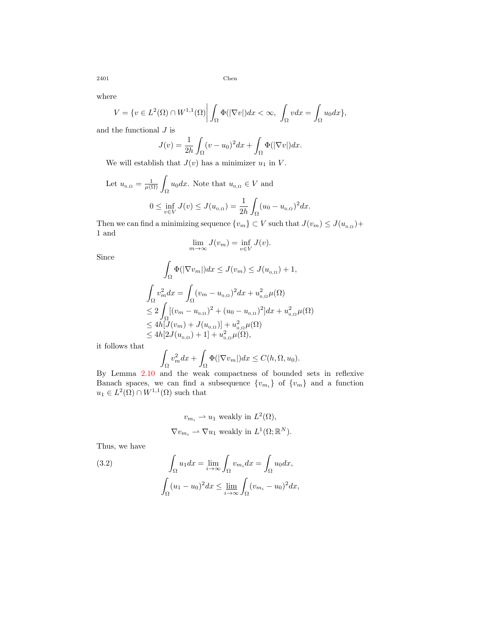where

$$
V = \{v \in L^{2}(\Omega) \cap W^{1,1}(\Omega) \bigg| \int_{\Omega} \Phi(|\nabla v|) dx < \infty, \int_{\Omega} v dx = \int_{\Omega} u_0 dx \},\
$$

and the functional *J* is

$$
J(v) = \frac{1}{2h} \int_{\Omega} (v - u_0)^2 dx + \int_{\Omega} \Phi(|\nabla v|) dx.
$$

We will establish that  $J(v)$  has a minimizer  $u_1$  in  $V$ .

Let 
$$
u_{0,\Omega} = \frac{1}{\mu(\Omega)} \int_{\Omega} u_0 dx
$$
. Note that  $u_{0,\Omega} \in V$  and  
\n
$$
0 \le \inf_{v \in V} J(v) \le J(u_{0,\Omega}) = \frac{1}{2h} \int_{\Omega} (u_0 - u_{0,\Omega})^2 dx.
$$

Then we can find a minimizing sequence  $\{v_m\} \subset V$  such that  $J(v_m) \leq J(u_{0,\Omega}) +$ 1 and

$$
\lim_{m \to \infty} J(v_m) = \inf_{v \in V} J(v).
$$

Since

$$
\int_{\Omega} \Phi(|\nabla v_m|) dx \le J(v_m) \le J(u_{0,\Omega}) + 1,
$$
\n
$$
\int_{\Omega} v_m^2 dx = \int_{\Omega} (v_m - u_{0,\Omega})^2 dx + u_{0,\Omega}^2 \mu(\Omega)
$$
\n
$$
\le 2 \int_{\Omega} [(v_m - u_{0,\Omega})^2 + (u_0 - u_{0,\Omega})^2] dx + u_{0,\Omega}^2 \mu(\Omega)
$$
\n
$$
\le 4h[J(v_m) + J(u_{0,\Omega})] + u_{0,\Omega}^2 \mu(\Omega)
$$
\n
$$
\le 4h[2J(u_{0,\Omega}) + 1] + u_{0,\Omega}^2 \mu(\Omega),
$$

it follows that

$$
\int_{\Omega} v_m^2 dx + \int_{\Omega} \Phi(|\nabla v_m|) dx \le C(h, \Omega, u_0).
$$

By Lemma [2.10](#page-5-1) and the weak compactness of bounded sets in reflexive Banach spaces, we can find a subsequence  $\{v_{m_i}\}\$  of  $\{v_m\}$  and a function  $u_1 \in L^2(\Omega) \cap W^{1,1}(\Omega)$  such that

<span id="page-9-0"></span>
$$
v_{m_i} \rightharpoonup u_1
$$
 weakly in  $L^2(\Omega)$ ,  
\n $\nabla v_{m_i} \rightharpoonup \nabla u_1$  weakly in  $L^1(\Omega; \mathbb{R}^N)$ .

Thus, we have

(3.2) 
$$
\int_{\Omega} u_1 dx = \lim_{i \to \infty} \int_{\Omega} v_{m_i} dx = \int_{\Omega} u_0 dx,
$$

$$
\int_{\Omega} (u_1 - u_0)^2 dx \le \lim_{i \to \infty} \int_{\Omega} (v_{m_i} - u_0)^2 dx,
$$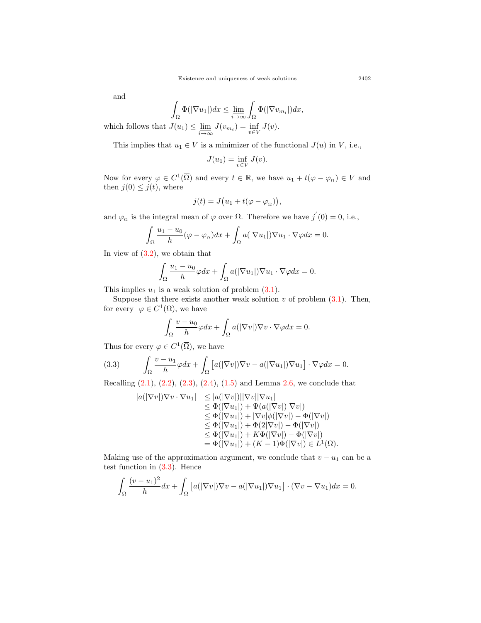and

$$
\int_{\Omega} \Phi(|\nabla u_1|) dx \le \lim_{i \to \infty} \int_{\Omega} \Phi(|\nabla v_{m_i}|) dx,
$$

which follows that  $J(u_1) \leq \underline{\lim}_{i \to \infty} J(v_{m_i}) = \inf_{v \in V} J(v)$ .

This implies that  $u_1 \in V$  is a minimizer of the functional  $J(u)$  in  $V$ , i.e.,

$$
J(u_1) = \inf_{v \in V} J(v).
$$

Now for every  $\varphi \in C^1(\overline{\Omega})$  and every  $t \in \mathbb{R}$ , we have  $u_1 + t(\varphi - \varphi_{\Omega}) \in V$  and then  $j(0) \leq j(t)$ , where

$$
j(t)=J\big(u_1+t(\varphi-\varphi_{\scriptscriptstyle\Omega})\big),
$$

and  $\varphi_{\Omega}$  is the integral mean of  $\varphi$  over  $\Omega$ . Therefore we have  $j'(0) = 0$ , i.e.,

$$
\int_{\Omega} \frac{u_1 - u_0}{h} (\varphi - \varphi_\Omega) dx + \int_{\Omega} a(|\nabla u_1|) \nabla u_1 \cdot \nabla \varphi dx = 0.
$$

In view of  $(3.2)$  $(3.2)$  $(3.2)$ , we obtain that

$$
\int_{\Omega} \frac{u_1 - u_0}{h} \varphi dx + \int_{\Omega} a(|\nabla u_1|) \nabla u_1 \cdot \nabla \varphi dx = 0.
$$

This implies  $u_1$  is a weak solution of problem  $(3.1)$  $(3.1)$ .

Suppose that there exists another weak solution  $v$  of problem  $(3.1)$ . Then, for every  $\varphi \in C^1(\overline{\Omega})$ , we have

$$
\int_{\Omega} \frac{v - u_0}{h} \varphi dx + \int_{\Omega} a(|\nabla v|) \nabla v \cdot \nabla \varphi dx = 0.
$$

Thus for every  $\varphi \in C^1(\overline{\Omega})$ , we have

(3.3) 
$$
\int_{\Omega} \frac{v - u_1}{h} \varphi dx + \int_{\Omega} \left[ a(|\nabla v|) \nabla v - a(|\nabla u_1|) \nabla u_1 \right] \cdot \nabla \varphi dx = 0.
$$

Recalling  $(2.1), (2.2), (2.3), (2.4), (1.5)$  $(2.1), (2.2), (2.3), (2.4), (1.5)$  $(2.1), (2.2), (2.3), (2.4), (1.5)$  $(2.1), (2.2), (2.3), (2.4), (1.5)$  $(2.1), (2.2), (2.3), (2.4), (1.5)$  $(2.1), (2.2), (2.3), (2.4), (1.5)$  $(2.1), (2.2), (2.3), (2.4), (1.5)$  $(2.1), (2.2), (2.3), (2.4), (1.5)$  $(2.1), (2.2), (2.3), (2.4), (1.5)$  $(2.1), (2.2), (2.3), (2.4), (1.5)$  and Lemma [2.6](#page-4-4), we conclude that

<span id="page-10-0"></span>
$$
|a(|\nabla v|)\nabla v \cdot \nabla u_1| \leq |a(|\nabla v|)||\nabla v||\nabla u_1| \n\leq \Phi(|\nabla u_1|) + \Psi(a(|\nabla v|)|\nabla v|) \n\leq \Phi(|\nabla u_1|) + |\nabla v|\phi(|\nabla v|) - \Phi(|\nabla v|) \n\leq \Phi(|\nabla u_1|) + \Phi(2|\nabla v|) - \Phi(|\nabla v|) \n\leq \Phi(|\nabla u_1|) + K\Phi(|\nabla v|) - \Phi(|\nabla v|) \n= \Phi(|\nabla u_1|) + (K - 1)\Phi(|\nabla v|) \in L^1(\Omega).
$$

Making use of the approximation argument, we conclude that  $v - u_1$  can be a test function in ([3.3\)](#page-10-0). Hence

$$
\int_{\Omega} \frac{(v - u_1)^2}{h} dx + \int_{\Omega} \left[ a(|\nabla v|) \nabla v - a(|\nabla u_1|) \nabla u_1 \right] \cdot (\nabla v - \nabla u_1) dx = 0.
$$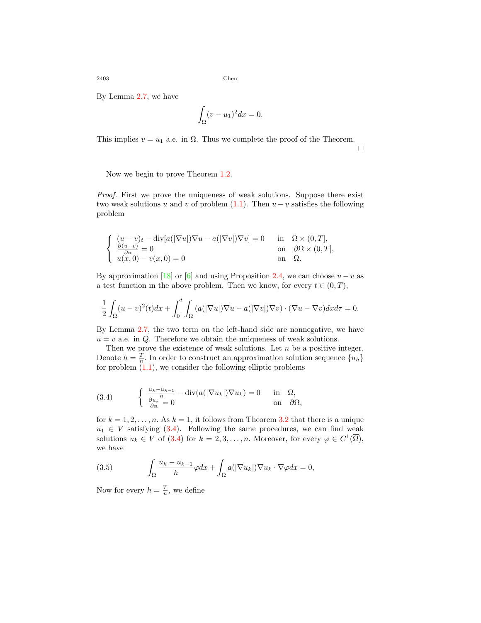By Lemma [2.7,](#page-5-0) we have

$$
\int_{\Omega} (v - u_1)^2 dx = 0.
$$

This implies  $v = u_1$  a.e. in  $\Omega$ . Thus we complete the proof of the Theorem.

□

Now we begin to prove Theorem [1.2](#page-3-1).

*Proof.* First we prove the uniqueness of weak solutions. Suppose there exist two weak solutions *u* and *v* of problem  $(1.1)$  $(1.1)$ . Then  $u - v$  satisfies the following problem

$$
\begin{cases}\n(u-v)_t - \operatorname{div}[a(|\nabla u|)\nabla u - a(|\nabla v|)\nabla v] = 0 & \text{in} \quad \Omega \times (0,T], \\
\frac{\partial(u-v)}{\partial \mathbf{n}} = 0 & \text{on} \quad \partial \Omega \times (0,T], \\
u(x,0) - v(x,0) = 0 & \text{on} \quad \Omega.\n\end{cases}
$$

By approximation [\[18](#page-18-9)] or [[6\]](#page-17-7) and using Proposition [2.4,](#page-4-5) we can choose  $u - v$  as a test function in the above problem. Then we know, for every  $t \in (0, T)$ ,

$$
\frac{1}{2} \int_{\Omega} (u-v)^2(t) dx + \int_0^t \int_{\Omega} (a(|\nabla u|) \nabla u - a(|\nabla v|) \nabla v) \cdot (\nabla u - \nabla v) dx d\tau = 0.
$$

By Lemma [2.7](#page-5-0), the two term on the left-hand side are nonnegative, we have  $u = v$  a.e. in *Q*. Therefore we obtain the uniqueness of weak solutions.

Then we prove the existence of weak solutions. Let *n* be a positive integer. Denote  $h = \frac{T}{n}$ . In order to construct an approximation solution sequence  $\{u_h\}$ for problem  $(1.1)$  $(1.1)$ , we consider the following elliptic problems

<span id="page-11-0"></span>(3.4) 
$$
\begin{cases} \frac{u_k - u_{k-1}}{h} - \operatorname{div}(a(|\nabla u_k|) \nabla u_k) = 0 & \text{in } \Omega, \\ \frac{\partial u_k}{\partial \mathbf{n}} = 0 & \text{on } \partial \Omega, \end{cases}
$$

for  $k = 1, 2, \ldots, n$ . As  $k = 1$ , it follows from Theorem [3.2](#page-8-1) that there is a unique  $u_1 \in V$  satisfying ([3.4\)](#page-11-0). Following the same procedures, we can find weak solutions  $u_k \in V$  of [\(3.4\)](#page-11-0) for  $k = 2, 3, ..., n$ . Moreover, for every  $\varphi \in C^1(\overline{\Omega}),$ we have

<span id="page-11-1"></span>(3.5) 
$$
\int_{\Omega} \frac{u_k - u_{k-1}}{h} \varphi dx + \int_{\Omega} a(|\nabla u_k|) \nabla u_k \cdot \nabla \varphi dx = 0,
$$

Now for every  $h = \frac{T}{n}$ , we define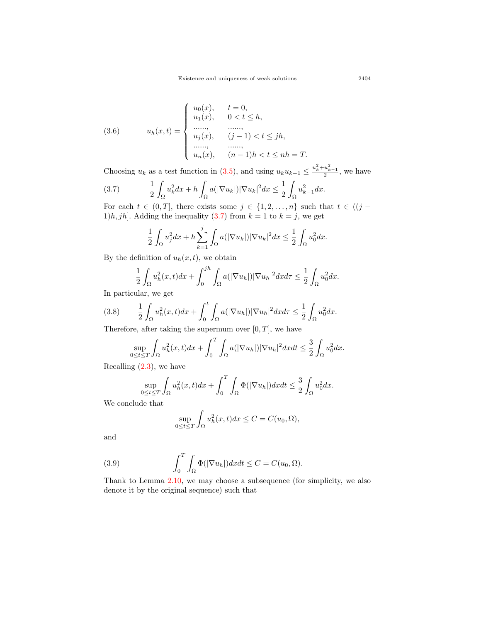<span id="page-12-2"></span>(3.6) 
$$
u_h(x,t) = \begin{cases} u_0(x), & t = 0, \\ u_1(x), & 0 < t \le h, \\ \dots, & \dots, \\ u_j(x), & (j-1) < t \le jh, \\ \dots, & \dots, \\ u_n(x), & (n-1)h < t \le nh = T. \end{cases}
$$

Choosing  $u_k$  as a test function in ([3.5](#page-11-1)), and using  $u_k u_{k-1} \leq \frac{u_k^2 + u_{k-1}^2}{2}$ , we have

$$
(3.7) \qquad \frac{1}{2} \int_{\Omega} u_k^2 dx + h \int_{\Omega} a(|\nabla u_k|) |\nabla u_k|^2 dx \le \frac{1}{2} \int_{\Omega} u_{k-1}^2 dx.
$$

For each  $t \in (0, T]$ , there exists some  $j \in \{1, 2, \ldots, n\}$  such that  $t \in ((j -$ 1)*h*, *jh*]. Adding the inequality ([3.7\)](#page-12-0) from  $k = 1$  to  $k = j$ , we get

<span id="page-12-0"></span>
$$
\frac{1}{2} \int_{\Omega} u_j^2 dx + h \sum_{k=1}^j \int_{\Omega} a(|\nabla u_k|) |\nabla u_k|^2 dx \le \frac{1}{2} \int_{\Omega} u_0^2 dx.
$$

By the definition of  $u_h(x, t)$ , we obtain

$$
\frac{1}{2}\int_{\Omega}u_h^2(x,t)dx+\int_0^{jh}\int_{\Omega}a(|\nabla u_h|)|\nabla u_h|^2dx d\tau\leq \frac{1}{2}\int_{\Omega}u_0^2dx.
$$

In particular, we get

<span id="page-12-3"></span>
$$
(3.8) \qquad \frac{1}{2}\int_{\Omega}u_h^2(x,t)dx + \int_0^t \int_{\Omega}a(|\nabla u_h|)|\nabla u_h|^2dx d\tau \leq \frac{1}{2}\int_{\Omega}u_0^2dx.
$$

Therefore, after taking the supermum over [0*, T*], we have

$$
\sup_{0\leq t\leq T}\int_{\Omega}u_h^2(x,t)dx+\int_0^T\int_{\Omega}a(|\nabla u_h|)|\nabla u_h|^2dxdt\leq \frac{3}{2}\int_{\Omega}u_0^2dx.
$$

Recalling [\(2.3](#page-4-2)), we have

$$
\sup_{0 \le t \le T} \int_{\Omega} u_h^2(x, t) dx + \int_0^T \int_{\Omega} \Phi(|\nabla u_h|) dx dt \le \frac{3}{2} \int_{\Omega} u_0^2 dx.
$$

We conclude that

<span id="page-12-1"></span>
$$
\sup_{0\leq t\leq T}\int_{\Omega}u_h^2(x,t)dx\leq C=C(u_0,\Omega),
$$

and

(3.9) 
$$
\int_0^T \int_{\Omega} \Phi(|\nabla u_h|) dx dt \leq C = C(u_0, \Omega).
$$

Thank to Lemma [2.10,](#page-5-1) we may choose a subsequence (for simplicity, we also denote it by the original sequence) such that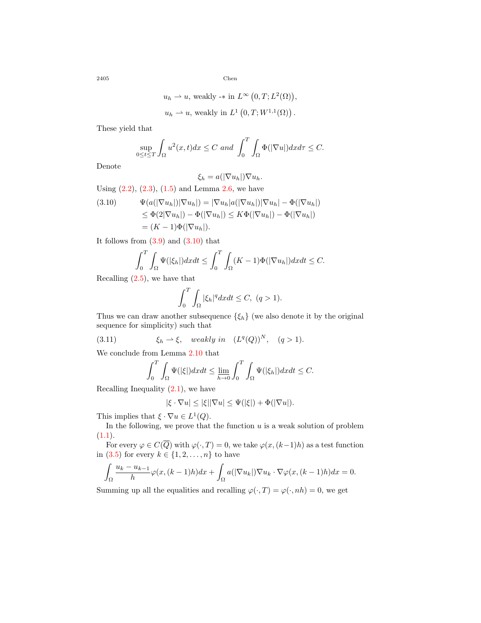$$
u_h \rightharpoonup u
$$
, weakly  $\rightarrow$  in  $L^{\infty} (0, T; L^2(\Omega))$ ,  
 $u_h \rightharpoonup u$ , weakly in  $L^1 (0, T; W^{1,1}(\Omega))$ .

These yield that

$$
\sup_{0\leq t\leq T}\int_{\Omega}u^2(x,t)dx\leq C \text{ and } \int_0^T\int_{\Omega}\Phi(|\nabla u|)dxd\tau\leq C.
$$

Denote

$$
\xi_h = a(|\nabla u_h|) \nabla u_h.
$$

Using  $(2.2)$  $(2.2)$ ,  $(2.3)$  $(2.3)$ ,  $(1.5)$  and Lemma [2.6,](#page-4-4) we have

<span id="page-13-0"></span>(3.10) 
$$
\Psi(a(|\nabla u_h|)|\nabla u_h|) = |\nabla u_h|a(|\nabla u_h|)|\nabla u_h| - \Phi(|\nabla u_h|)
$$

$$
\leq \Phi(2|\nabla u_h|) - \Phi(|\nabla u_h|) \leq K\Phi(|\nabla u_h|) - \Phi(|\nabla u_h|)
$$

$$
= (K-1)\Phi(|\nabla u_h|).
$$

It follows from  $(3.9)$  $(3.9)$  and  $(3.10)$  that

$$
\int_0^T \int_{\Omega} \Psi(|\xi_h|) dx dt \le \int_0^T \int_{\Omega} (K-1) \Phi(|\nabla u_h|) dx dt \le C.
$$

Recalling [\(2.5\)](#page-5-4), we have that

$$
\int_0^T \int_{\Omega} |\xi_h|^q dx dt \le C, \ (q > 1).
$$

Thus we can draw another subsequence  $\{\xi_h\}$  (we also denote it by the original sequence for simplicity) such that

(3.11) 
$$
\xi_h \rightharpoonup \xi, \quad weakly \ in \quad (L^q(Q))^N, \quad (q>1).
$$

We conclude from Lemma [2.10](#page-5-1) that

<span id="page-13-1"></span>
$$
\int_0^T \int_{\Omega} \Psi(|\xi|) dx dt \le \lim_{h \to 0} \int_0^T \int_{\Omega} \Psi(|\xi_h|) dx dt \le C.
$$

Recalling Inequality  $(2.1)$ , we have

$$
|\xi \cdot \nabla u| \leq |\xi| |\nabla u| \leq \Psi(|\xi|) + \Phi(|\nabla u|).
$$

This implies that  $\xi \cdot \nabla u \in L^1(Q)$ .

In the following, we prove that the function  $u$  is a weak solution of problem  $(1.1).$  $(1.1).$  $(1.1).$ 

For every  $\varphi \in C(\overline{Q})$  with  $\varphi(\cdot, T) = 0$ , we take  $\varphi(x, (k-1)h)$  as a test function in ([3.5](#page-11-1)) for every  $k \in \{1, 2, \ldots, n\}$  to have

$$
\int_{\Omega} \frac{u_k - u_{k-1}}{h} \varphi(x, (k-1)h) dx + \int_{\Omega} a(|\nabla u_k|) \nabla u_k \cdot \nabla \varphi(x, (k-1)h) dx = 0.
$$

Summing up all the equalities and recalling  $\varphi(\cdot, T) = \varphi(\cdot, nh) = 0$ , we get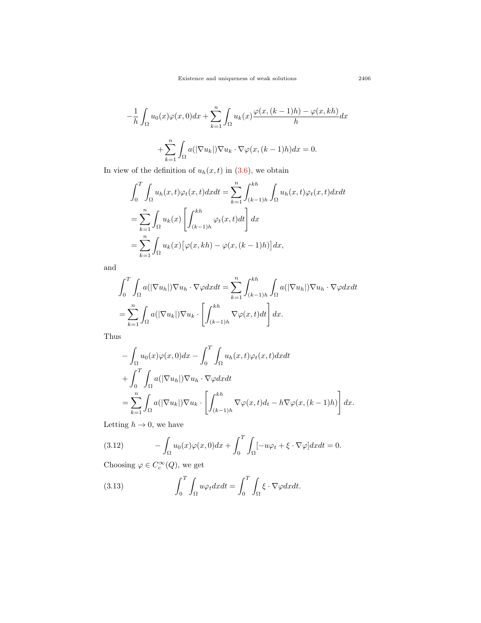$$
-\frac{1}{h} \int_{\Omega} u_0(x)\varphi(x,0)dx + \sum_{k=1}^n \int_{\Omega} u_k(x) \frac{\varphi(x,(k-1)h) - \varphi(x,kh)}{h} dx
$$

$$
+ \sum_{k=1}^n \int_{\Omega} a(|\nabla u_k|) \nabla u_k \cdot \nabla \varphi(x,(k-1)h) dx = 0.
$$

In view of the definition of  $u_h(x, t)$  in ([3.6\)](#page-12-2), we obtain

$$
\int_0^T \int_{\Omega} u_h(x, t) \varphi_t(x, t) dx dt = \sum_{k=1}^n \int_{(k-1)h}^{kh} \int_{\Omega} u_h(x, t) \varphi_t(x, t) dx dt
$$
  
= 
$$
\sum_{k=1}^n \int_{\Omega} u_k(x) \left[ \int_{(k-1)h}^{kh} \varphi_t(x, t) dt \right] dx
$$
  
= 
$$
\sum_{k=1}^n \int_{\Omega} u_k(x) \left[ \varphi(x, kh) - \varphi(x, (k-1)h) \right] dx,
$$

and

$$
\int_0^T \int_{\Omega} a(|\nabla u_h|) \nabla u_h \cdot \nabla \varphi dx dt = \sum_{k=1}^n \int_{(k-1)h}^{kh} \int_{\Omega} a(|\nabla u_h|) \nabla u_h \cdot \nabla \varphi dx dt
$$

$$
= \sum_{k=1}^n \int_{\Omega} a(|\nabla u_k|) \nabla u_k \cdot \left[ \int_{(k-1)h}^{kh} \nabla \varphi(x,t) dt \right] dx.
$$

Thus

$$
- \int_{\Omega} u_0(x)\varphi(x,0)dx - \int_0^T \int_{\Omega} u_h(x,t)\varphi_t(x,t)dxdt
$$
  
+ 
$$
\int_0^T \int_{\Omega} a(|\nabla u_h|)\nabla u_h \cdot \nabla \varphi dxdt
$$
  
= 
$$
\sum_{k=1}^n \int_{\Omega} a(|\nabla u_k|)\nabla u_k \cdot \left[ \int_{(k-1)h}^{kh} \nabla \varphi(x,t)dt - h\nabla \varphi(x,(k-1)h) \right] dx.
$$

Letting  $h \to 0$ , we have

<span id="page-14-1"></span>(3.12) 
$$
- \int_{\Omega} u_0(x) \varphi(x,0) dx + \int_0^T \int_{\Omega} [-u\varphi_t + \xi \cdot \nabla \varphi] dx dt = 0.
$$

Choosing  $\varphi \in C_c^{\infty}(Q)$ , we get

<span id="page-14-0"></span>(3.13) 
$$
\int_0^T \int_{\Omega} u \varphi_t dx dt = \int_0^T \int_{\Omega} \xi \cdot \nabla \varphi dx dt.
$$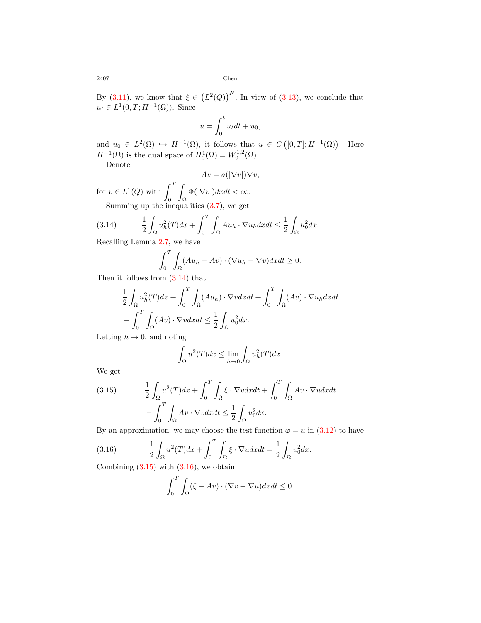By [\(3.11\)](#page-13-1), we know that  $\xi \in (L^2(Q))^N$ . In view of [\(3.13\)](#page-14-0), we conclude that  $u_t \in L^1(0,T; H^{-1}(\Omega))$ . Since

$$
u = \int_0^t u_t dt + u_0,
$$

and  $u_0 \in L^2(\Omega) \hookrightarrow H^{-1}(\Omega)$ , it follows that  $u \in C([0,T]; H^{-1}(\Omega))$ . Here  $H^{-1}(\Omega)$  is the dual space of  $H_0^1(\Omega) = W_0^{1,2}(\Omega)$ .

Denote

$$
Av = a(|\nabla v|)\nabla v,
$$

for  $v \in L^1(Q)$  with  $\int_0^T$ 0 ∫ Ω  $\Phi(|\nabla v|)dxdt < \infty$ . Summing up the inequalities  $(3.7)$  $(3.7)$ , we get

(3.14) 
$$
\frac{1}{2} \int_{\Omega} u_h^2(T) dx + \int_0^T \int_{\Omega} Au_h \cdot \nabla u_h dx dt \leq \frac{1}{2} \int_{\Omega} u_0^2 dx.
$$

Recalling Lemma [2.7,](#page-5-0) we have

<span id="page-15-0"></span>
$$
\int_0^T \int_{\Omega} (Au_h - Av) \cdot (\nabla u_h - \nabla v) dx dt \ge 0.
$$

Then it follows from  $(3.14)$  that

$$
\frac{1}{2} \int_{\Omega} u_h^2(T) dx + \int_0^T \int_{\Omega} (Au_h) \cdot \nabla v dx dt + \int_0^T \int_{\Omega} (Av) \cdot \nabla u_h dx dt
$$

$$
- \int_0^T \int_{\Omega} (Av) \cdot \nabla v dx dt \le \frac{1}{2} \int_{\Omega} u_0^2 dx.
$$

Letting  $h \to 0$ , and noting

$$
\int_{\Omega}u^2(T)dx \leq \lim_{h \to 0} \int_{\Omega}u_h^2(T)dx.
$$

We get

<span id="page-15-1"></span>(3.15) 
$$
\frac{1}{2} \int_{\Omega} u^2(T) dx + \int_0^T \int_{\Omega} \xi \cdot \nabla v dx dt + \int_0^T \int_{\Omega} Av \cdot \nabla u dx dt
$$

$$
- \int_0^T \int_{\Omega} Av \cdot \nabla v dx dt \le \frac{1}{2} \int_{\Omega} u_0^2 dx.
$$

By an approximation, we may choose the test function  $\varphi = u$  in ([3.12\)](#page-14-1) to have

(3.16) 
$$
\frac{1}{2} \int_{\Omega} u^2(T) dx + \int_0^T \int_{\Omega} \xi \cdot \nabla u dx dt = \frac{1}{2} \int_{\Omega} u_0^2 dx.
$$

Combining  $(3.15)$  $(3.15)$  $(3.15)$  with  $(3.16)$  $(3.16)$ , we obtain

<span id="page-15-2"></span>
$$
\int_0^T \int_{\Omega} (\xi - Av) \cdot (\nabla v - \nabla u) dx dt \le 0.
$$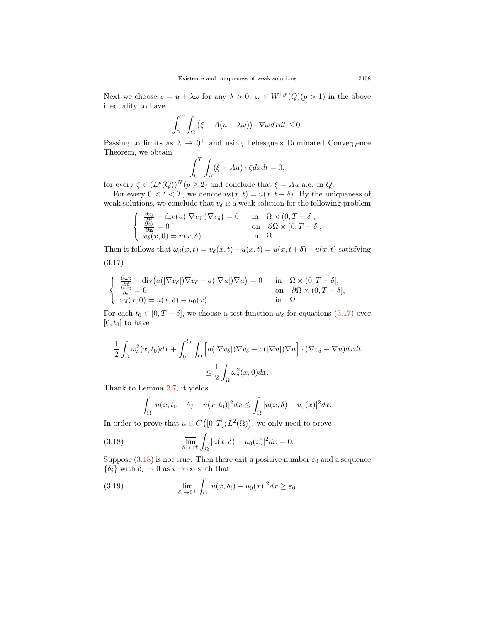Next we choose  $v = u + \lambda \omega$  for any  $\lambda > 0$ ,  $\omega \in W^{1,p}(Q)(p > 1)$  in the above inequality to have

$$
\int_0^T \int_{\Omega} \left( \xi - A(u + \lambda \omega) \right) \cdot \nabla \omega dx dt \le 0.
$$

Passing to limits as  $\lambda \to 0^+$  and using Lebesgue's Dominated Convergence Theorem, we obtain

<span id="page-16-0"></span>
$$
\int_0^T \int_{\Omega} (\xi - Au) \cdot \zeta dx dt = 0,
$$

for every  $\zeta \in (L^p(Q))^N (p \geq 2)$  and conclude that  $\xi = Au$  a.e. in *Q*.

For every  $0 < \delta < T$ , we denote  $v_{\delta}(x, t) = u(x, t + \delta)$ . By the uniqueness of weak solutions, we conclude that  $v_{\delta}$  is a weak solution for the following problem

$$
\begin{cases}\n\frac{\partial v_{\delta}}{\partial t} - \operatorname{div}(a(|\nabla v_{\delta}|)\nabla v_{\delta}) = 0 & \text{in } \Omega \times (0, T - \delta], \\
\frac{\partial v_{\delta}}{\partial \mathbf{n}} = 0 & \text{on } \partial \Omega \times (0, T - \delta], \\
v_{\delta}(x, 0) = u(x, \delta) & \text{in } \Omega.\n\end{cases}
$$

Then it follows that  $\omega_{\delta}(x, t) = v_{\delta}(x, t) - u(x, t) = u(x, t + \delta) - u(x, t)$  satisfying (3.17)

<span id="page-16-1"></span>
$$
\begin{cases}\n\frac{\partial \omega_{\delta}}{\partial t} - \operatorname{div}(a(|\nabla v_{\delta}|)\nabla v_{\delta} - a(|\nabla u|)\nabla u) = 0 & \text{in} \quad \Omega \times (0, T - \delta], \\
\frac{\partial \omega_{\delta}}{\partial \mathbf{n}} = 0 & \text{on} \quad \partial \Omega \times (0, T - \delta], \\
\omega_{\delta}(x, 0) = u(x, \delta) - u_{0}(x) & \text{in} \quad \Omega.\n\end{cases}
$$

For each  $t_0 \in [0, T - \delta]$ , we choose a test function  $\omega_{\delta}$  for equations [\(3.17\)](#page-16-0) over  $[0, t_0]$  to have

$$
\frac{1}{2} \int_{\Omega} \omega_{\delta}^{2}(x, t_{0}) dx + \int_{0}^{t_{0}} \int_{\Omega} \left[ a(|\nabla v_{\delta}|) \nabla v_{\delta} - a(|\nabla u|) \nabla u \right] \cdot (\nabla v_{\delta} - \nabla u) dx dt
$$

$$
\leq \frac{1}{2} \int_{\Omega} \omega_{\delta}^{2}(x, 0) dx.
$$

Thank to Lemma [2.7](#page-5-0), it yields

$$
\int_{\Omega} |u(x, t_0 + \delta) - u(x, t_0)|^2 dx \le \int_{\Omega} |u(x, \delta) - u_0(x)|^2 dx.
$$

In order to prove that  $u \in C([0,T]; L^2(\Omega))$ , we only need to prove

(3.18) 
$$
\overline{\lim_{\delta \to 0^+}} \int_{\Omega} |u(x,\delta) - u_0(x)|^2 dx = 0.
$$

Suppose  $(3.18)$  is not true. Then there exit a positive number  $\varepsilon_0$  and a sequence  ${\delta_i}$  with  $\delta_i \to 0$  as  $i \to \infty$  such that

<span id="page-16-2"></span>(3.19) 
$$
\lim_{\delta_i \to 0^+} \int_{\Omega} |u(x, \delta_i) - u_0(x)|^2 dx \ge \varepsilon_0.
$$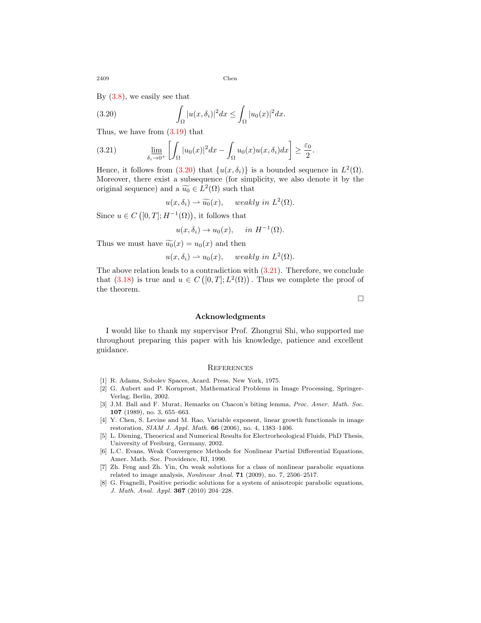By ([3.8](#page-12-3)), we easily see that

<span id="page-17-8"></span>(3.20) 
$$
\int_{\Omega} |u(x,\delta_i)|^2 dx \leq \int_{\Omega} |u_0(x)|^2 dx.
$$

Thus, we have from [\(3.19\)](#page-16-2) that

<span id="page-17-9"></span>(3.21) 
$$
\lim_{\delta_i \to 0^+} \left[ \int_{\Omega} |u_0(x)|^2 dx - \int_{\Omega} u_0(x) u(x, \delta_i) dx \right] \ge \frac{\varepsilon_0}{2}.
$$

Hence, it follows from  $(3.20)$  $(3.20)$  that  $\{u(x, \delta_i)\}\)$  is a bounded sequence in  $L^2(\Omega)$ . Moreover, there exist a subsequence (for simplicity, we also denote it by the original sequence) and a  $\widetilde{u_0} \in L^2(\Omega)$  such that

$$
u(x, \delta_i) \rightharpoonup \widetilde{u_0}(x)
$$
, weakly in  $L^2(\Omega)$ .

Since  $u \in C([0, T]; H^{-1}(\Omega))$ , it follows that

$$
u(x, \delta_i) \to u_0(x), \quad in \ H^{-1}(\Omega).
$$

Thus we must have  $\widetilde{u_0}(x) = u_0(x)$  and then

$$
u(x, \delta_i) \rightharpoonup u_0(x)
$$
, weakly in  $L^2(\Omega)$ .

The above relation leads to a contradiction with ([3.21](#page-17-9)). Therefore, we conclude that  $(3.18)$  is true and  $u \in C([0,T]; L^2(\Omega))$ . Thus we complete the proof of the theorem.

□

#### **Acknowledgments**

I would like to thank my supervisor Prof. Zhongrui Shi, who supported me throughout preparing this paper with his knowledge, patience and excellent guidance.

#### **REFERENCES**

- <span id="page-17-5"></span>[1] R. Adams, Sobolev Spaces, Acard. Press, New York, 1975.
- <span id="page-17-3"></span>[2] G. Aubert and P. Kornprost, Mathematical Problems in Image Processing, Springer-Verlag, Berlin, 2002.
- <span id="page-17-6"></span>[3] J.M. Ball and F. Murat, Remarks on Chacon's biting lemma, *Proc. Amer. Math. Soc.* **107** (1989), no. 3, 655–663.
- <span id="page-17-0"></span>[4] Y. Chen, S. Levine and M. Rao, Variable exponent, linear growth functionals in image restoration, *SIAM J. Appl. Math.* **66** (2006), no. 4, 1383–1406.
- <span id="page-17-1"></span>[5] L. Diening, Theoerical and Numerical Results for Electrorheological Fluids, PhD Thesis, University of Freiburg, Germany, 2002.
- <span id="page-17-7"></span>[6] L.C. Evans, Weak Convergence Methods for Nonlinear Partial Differential Equations, Amer. Math. Soc. Providence, RI, 1990.
- <span id="page-17-4"></span>[7] Zh. Feng and Zh. Yin, On weak solutions for a class of nonlinear parabolic equations related to image analysis, *Nonlinear Anal.* **71** (2009), no. 7, 2506–2517.
- <span id="page-17-2"></span>[8] G. Fragnelli, Positive periodic solutions for a system of anisotropic parabolic equations, *J. Math. Anal. Appl.* **367** (2010) 204–228.